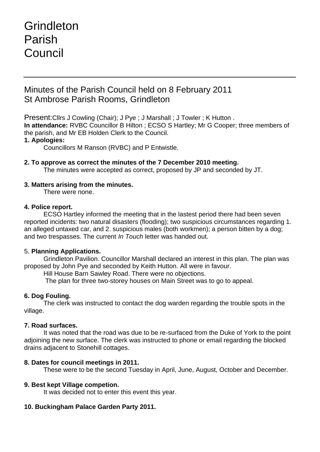# Grindleton Parish Council

# Minutes of the Parish Council held on 8 February 2011 St Ambrose Parish Rooms, Grindleton

Present:Cllrs J Cowling (Chair); J Pye ; J Marshall ; J Towler ; K Hutton . **In attendance:** RVBC Councillor B Hilton ; ECSO S Hartley; Mr G Cooper; three members of the parish, and Mr EB Holden Clerk to the Council.

### **1. Apologies:**

Councillors M Ranson (RVBC) and P Entwistle.

**2. To approve as correct the minutes of the 7 December 2010 meeting.** The minutes were accepted as correct, proposed by JP and seconded by JT.

# **3. Matters arising from the minutes.**

There were none.

#### **4. Police report.**

ECSO Hartley informed the meeting that in the lastest period there had been seven reported incidents: two natural disasters (flooding); two suspicious circumstances regarding 1. an alleged untaxed car, and 2. suspicious males (both workmen); a person bitten by a dog; and two trespasses. The current *In Touch* letter was handed out.

# 5. **Planning Applications.**

Grindleton Pavilion. Councillor Marshall declared an interest in this plan. The plan was proposed by John Pye and seconded by Keith Hutton. All were in favour.

Hill House Barn Sawley Road. There were no objections.

The plan for three two-storey houses on Main Street was to go to appeal.

# **6. Dog Fouling.**

The clerk was instructed to contact the dog warden regarding the trouble spots in the village.

#### **7. Road surfaces.**

It was noted that the road was due to be re-surfaced from the Duke of York to the point adjoining the new surface. The clerk was instructed to phone or email regarding the blocked drains adjacent to Stonehill cottages.

#### **8. Dates for council meetings in 2011.**

These were to be the second Tuesday in April, June, August, October and December.

#### **9. Best kept Village competion.**

It was decided not to enter this event this year.

# **10. Buckingham Palace Garden Party 2011.**